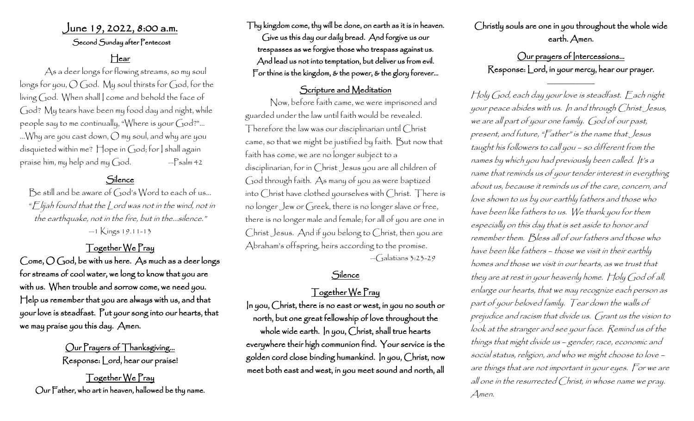# June 19, 2022, 8:00 a.m.

Second Sunday after Pentecost

## Hear

 As a deer longs for flowing streams, so my soul longs for you, O God. My soul thirsts for God, for the living God. When shall I come and behold the face of God? My tears have been my food day and night, while people say to me continually, "Where is your God?"… …Why are you cast down, O my soul, and why are you disquieted within me? Hope in God; for I shall again praise him, my help and my  $God.$  -Psalm 42

#### Silence

Be still and be aware of  $Goods$  Word to each of us... " $E$ lijah found that the  $\mathcal L$ ord was not in the wind, not in the earthquake, not in the fire, but in the…silence." —1 Kings 19.11-13

#### Together We Pray

Come,  $O$  God, be with us here. As much as a deer longs for streams of cool water, we long to know that you are with us. When trouble and sorrow come, we need you. Help us remember that you are always with us, and that your love is steadfast. Put your song into our hearts, that we may praise you this day. Amen.

> Our Prayers of Thanksgiving… Response: Lord, hear our praise!

Together We Pray Our Father, who art in heaven, hallowed be thy name. Thy kingdom come, thy will be done, on earth as it is in heaven. Give us this day our daily bread. And forgive us our trespasses as we forgive those who trespass against us. And lead us not into temptation, but deliver us from evil. For thine is the kingdom, & the power, & the glory forever…

#### Scripture and Meditation

Now, before faith came, we were imprisoned and guarded under the law until faith would be revealed. Therefore the law was our disciplinarian until Christ came, so that we might be justified by faith. But now that faith has come, we are no longer subject to a disciplinarian, for in Christ Jesus you are all children of God through faith. As many of you as were baptized into Christ have clothed yourselves with Christ. There is no longer Jew or Greek, there is no longer slave or free, there is no longer male and female; for all of you are one in Christ Jesus. And if you belong to Christ, then you are Abraham's offspring, heirs according to the promise.  $-\text{Galatians } 3:23-29$ 

### **Silence**

#### Together We Pray

In you, Christ, there is no east or west, in you no south or north, but one great fellowship of love throughout the whole wide earth. In you, Christ, shall true hearts everywhere their high communion find. Your service is the golden cord close binding humankind. In you, Christ, now meet both east and west, in you meet sound and north, all

Christly souls are one in you throughout the whole wide earth. Amen.

## Our prayers of Intercessions... Response: Lord, in your mercy, hear our prayer.

 $\mathcal{L}=\mathcal{L}^{\mathcal{L}}$  , where  $\mathcal{L}^{\mathcal{L}}$  , we have the set of the set of the set of the set of the set of the set of the set of the set of the set of the set of the set of the set of the set of the set of the set of

Holy God, each day your love is steadfast. Each night your peace abides with us. In and through Christ Jesus, we are all part of your one family. God of our past, present, and future, "Father" is the name that Jesus taught his followers to call you – so different from the names by which you had previously been called. It's a name that reminds us of your tender interest in everything about us, because it reminds us of the care, concern, and love shown to us by our earthly fathers and those who have been like fathers to us. We thank you for them especially on this day that is set aside to honor and remember them. Bless all of our fathers and those who have been like fathers – those we visit in their earthly homes and those we visit in our hearts, as we trust that they are at rest in your heavenly home. Holy God of all, enlarge our hearts, that we may recognize each person as part of your beloved family. Tear down the walls of prejudice and racism that divide us. Grant us the vision to look at the stranger and see your face. Remind us of the things that might divide us – gender, race, economic and social status, religion, and who we might choose to love – are things that are not important in your eyes. For we are all one in the resurrected Christ, in whose name we pray. Amen.